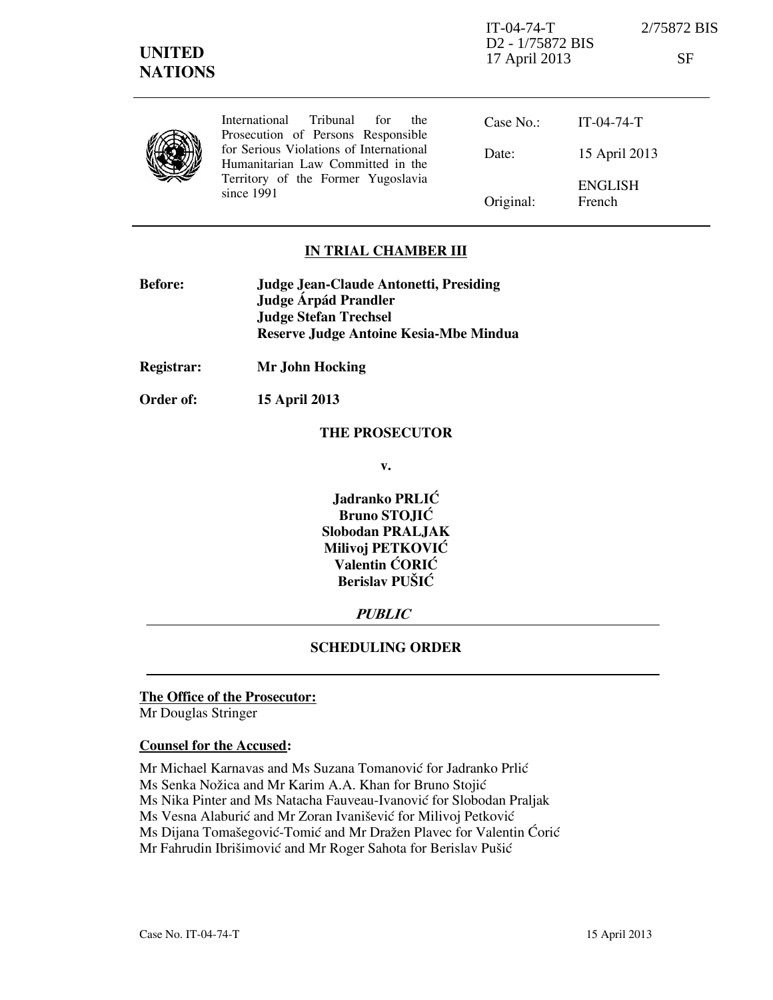| <b>UNITED</b><br><b>NATIONS</b> |                                                                                                                                    | $IT-04-74-T$<br>D <sub>2</sub> - 1/75872 BIS<br>17 April 2013 |                          | 2/75872 BIS<br>SF |
|---------------------------------|------------------------------------------------------------------------------------------------------------------------------------|---------------------------------------------------------------|--------------------------|-------------------|
|                                 | International<br>Tribunal<br>for<br>the<br>Prosecution of Persons Responsible                                                      | Case No.                                                      | $IT-04-74-T$             |                   |
|                                 | for Serious Violations of International<br>Humanitarian Law Committed in the<br>Territory of the Former Yugoslavia<br>since $1991$ | Date:                                                         | 15 April 2013            |                   |
|                                 |                                                                                                                                    | Original:                                                     | <b>ENGLISH</b><br>French |                   |

#### **IN TRIAL CHAMBER III**

| <b>Before:</b> | Judge Jean-Claude Antonetti, Presiding |  |
|----------------|----------------------------------------|--|
|                | Judge Árpád Prandler                   |  |
|                | <b>Judge Stefan Trechsel</b>           |  |
|                | Reserve Judge Antoine Kesia-Mbe Mindua |  |
|                |                                        |  |

**Registrar: Mr John Hocking** 

**Order of: 15 April 2013** 

#### **THE PROSECUTOR**

**v.** 

**Jadranko PRLIĆ Bruno STOJIĆ Slobodan PRALJAK Milivoj PETKOVIĆ Valentin CORIC Berislav PUŠIĆ** 

# **PUBLIC**

# **SCHEDULING ORDER**

# **The Office of the Prosecutor:**

Mr Douglas Stringer

#### **Counsel for the Accused:**

Mr Michael Karnavas and Ms Suzana Tomanović for Jadranko Prlić Ms Senka Nožica and Mr Karim A.A. Khan for Bruno Stojić Ms Nika Pinter and Ms Natacha Fauveau-Ivanović for Slobodan Praljak Ms Vesna Alaburić and Mr Zoran Ivanišević for Milivoj Petković Ms Dijana Tomašegović-Tomić and Mr Dražen Plavec for Valentin Ćorić Mr Fahrudin Ibrišimović and Mr Roger Sahota for Berislav Pušić